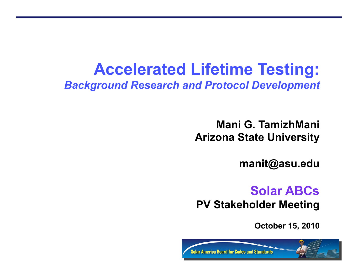# **Accelerated Lifetime Testing:**

*Background Research and Protocol Development*

**Mani G. TamizhMani Arizona State University** 

**manit@asu.edu** 

## **Solar ABCs**

**PV Stakeholder Meeting** 

**October 15, 2010** 

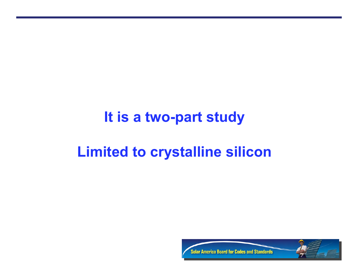## **It is a two-part study**

# **Limited to crystalline silicon**

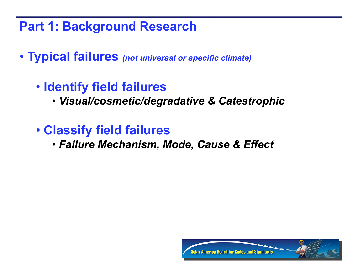### **Part 1: Background Research**

- • **Typical failures** *(not universal or specific climate)*
	- • **Identify field failures** 
		- • *Visual/cosmetic/degradative & Catestrophic*
	- • **Classify field failures** 
		- • *Failure Mechanism, Mode, Cause & Effect*

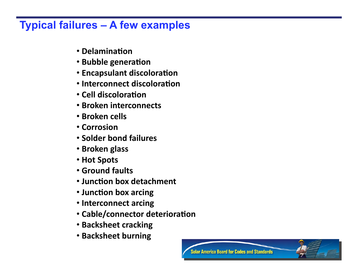### **Typical failures – A few examples**

- **Delamination**
- **Bubble generation**
- **Encapsulant discoloration**
- Interconnect discoloration
- Cell discoloration
- • **Broken interconnects**
- • **Broken cells**
- • **Corrosion**
- • **Solder bond failures**
- • **Broken glass**
- • **Hot Spots**
- • **Ground faults**
- **Junction box detachment**
- Junction box arcing
- • **Interconnect arcing**
- **Cable/connector deterioration**
- **Backsheet cracking**
- **Backsheet burning**

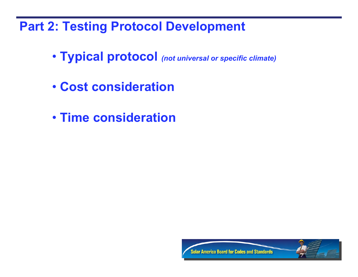**Part 2: Testing Protocol Development** 

- • **Typical protocol** *(not universal or specific climate)*
- • **Cost consideration**
- • **Time consideration**

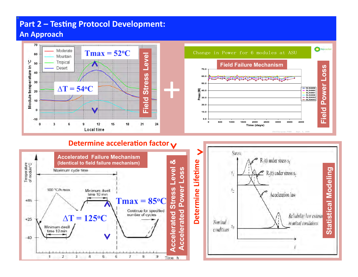#### **Part 2 – Testing Protocol Development: An Approach**





#### **Determine acceleration factor**  $\mathbf{\mathsf{v}}$



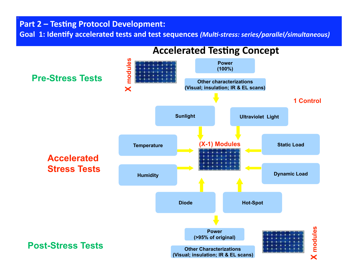#### **Part 2 – Testing Protocol Development:**

Goal 1: Identify accelerated tests and test sequences *(Multi-stress: series/parallel/simultaneous)* 



### **Accelerated Testing Concept**